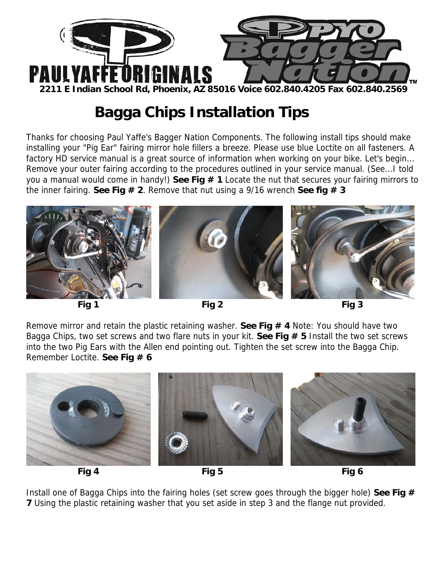

## **Bagga Chips Installation Tips**

Thanks for choosing Paul Yaffe's Bagger Nation Components. The following install tips should make installing your "Pig Ear" fairing mirror hole fillers a breeze. Please use blue Loctite on all fasteners. A factory HD service manual is a great source of information when working on your bike. Let's begin... Remove your outer fairing according to the procedures outlined in your service manual. (See...I told you a manual would come in handy!) **See Fig # 1** Locate the nut that secures your fairing mirrors to the inner fairing. **See Fig # 2**. Remove that nut using a 9/16 wrench **See fig # 3** 



Remove mirror and retain the plastic retaining washer. **See Fig # 4** Note: You should have two Bagga Chips, two set screws and two flare nuts in your kit. **See Fig # 5** Install the two set screws into the two Pig Ears with the Allen end pointing out. Tighten the set screw into the Bagga Chip. Remember Loctite. **See Fig # 6**





Install one of Bagga Chips into the fairing holes (set screw goes through the bigger hole) **See Fig # 7** Using the plastic retaining washer that you set aside in step 3 and the flange nut provided.